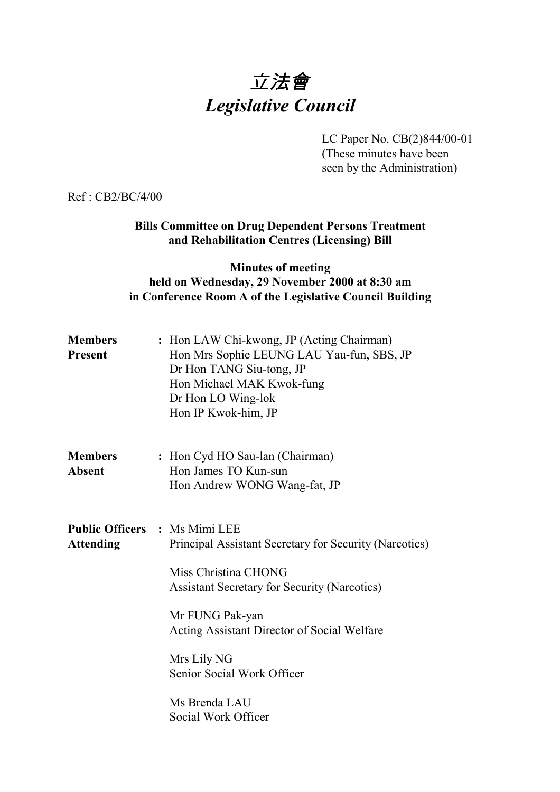# 立法會 *Legislative Council*

LC Paper No. CB(2)844/00-01 (These minutes have been seen by the Administration)

Ref : CB2/BC/4/00

**Bills Committee on Drug Dependent Persons Treatment and Rehabilitation Centres (Licensing) Bill**

## **Minutes of meeting held on Wednesday, 29 November 2000 at 8:30 am in Conference Room A of the Legislative Council Building**

| <b>Members</b><br>Present       | : Hon LAW Chi-kwong, JP (Acting Chairman)<br>Hon Mrs Sophie LEUNG LAU Yau-fun, SBS, JP<br>Dr Hon TANG Siu-tong, JP<br>Hon Michael MAK Kwok-fung<br>Dr Hon LO Wing-lok<br>Hon IP Kwok-him, JP                                                                                                                  |
|---------------------------------|---------------------------------------------------------------------------------------------------------------------------------------------------------------------------------------------------------------------------------------------------------------------------------------------------------------|
| <b>Members</b><br><b>Absent</b> | : Hon Cyd HO Sau-lan (Chairman)<br>Hon James TO Kun-sun<br>Hon Andrew WONG Wang-fat, JP                                                                                                                                                                                                                       |
| <b>Attending</b>                | <b>Public Officers : Ms Mimi LEE</b><br>Principal Assistant Secretary for Security (Narcotics)<br>Miss Christina CHONG<br><b>Assistant Secretary for Security (Narcotics)</b><br>Mr FUNG Pak-yan<br>Acting Assistant Director of Social Welfare<br>Mrs Lily NG<br>Senior Social Work Officer<br>Ms Brenda LAU |
|                                 | Social Work Officer                                                                                                                                                                                                                                                                                           |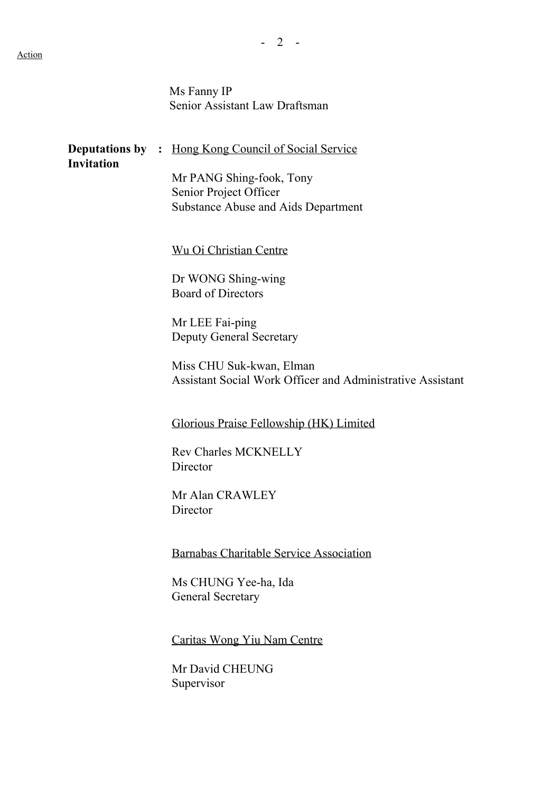Ms Fanny IP Senior Assistant Law Draftsman

| <b>Invitation</b> | <b>Deputations by :</b> Hong Kong Council of Social Service                                      |
|-------------------|--------------------------------------------------------------------------------------------------|
|                   | Mr PANG Shing-fook, Tony<br>Senior Project Officer<br><b>Substance Abuse and Aids Department</b> |
|                   | <b>Wu Oi Christian Centre</b>                                                                    |
|                   | Dr WONG Shing-wing<br><b>Board of Directors</b>                                                  |
|                   | Mr LEE Fai-ping<br><b>Deputy General Secretary</b>                                               |
|                   | Miss CHU Suk-kwan, Elman<br>Assistant Social Work Officer and Administrative Assistant           |
|                   | Glorious Praise Fellowship (HK) Limited                                                          |
|                   | <b>Rev Charles MCKNELLY</b><br>Director                                                          |
|                   | Mr Alan CRAWLEY<br>Director                                                                      |
|                   | <b>Barnabas Charitable Service Association</b>                                                   |
|                   | Ms CHUNG Yee-ha, Ida<br><b>General Secretary</b>                                                 |
|                   | Caritas Wong Yiu Nam Centre                                                                      |

Mr David CHEUNG Supervisor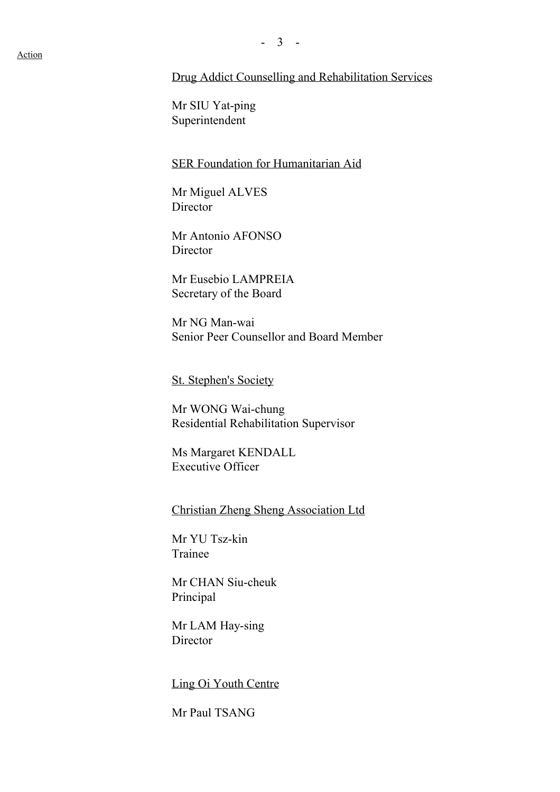#### Drug Addict Counselling and Rehabilitation Services

Mr SIU Yat-ping Superintendent

#### SER Foundation for Humanitarian Aid

Mr Miguel ALVES **Director** 

Mr Antonio AFONSO **Director** 

Mr Eusebio LAMPREIA Secretary of the Board

 Mr NG Man-wai Senior Peer Counsellor and Board Member

St. Stephen's Society

Mr WONG Wai-chung Residential Rehabilitation Supervisor

Ms Margaret KENDALL Executive Officer

Christian Zheng Sheng Association Ltd

Mr YU Tsz-kin Trainee

Mr CHAN Siu-cheuk Principal

Mr LAM Hay-sing Director

Ling Oi Youth Centre

Mr Paul TSANG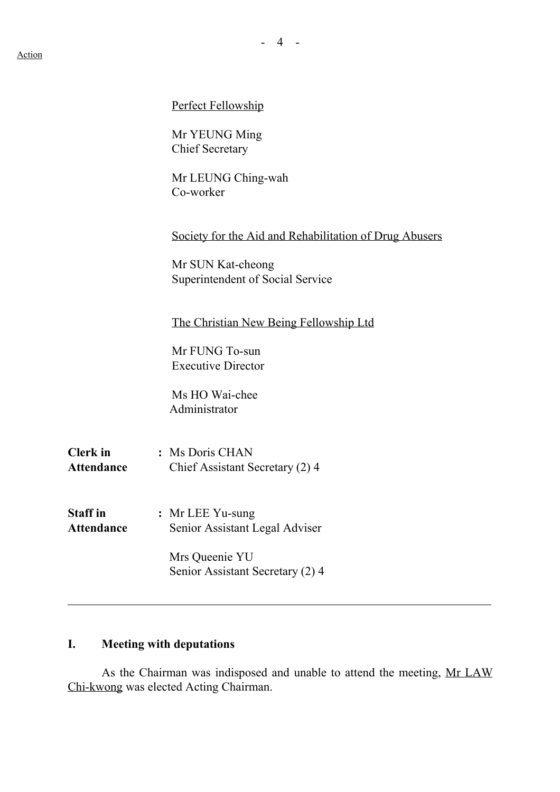|                                      | Perfect Fellowship                                     |
|--------------------------------------|--------------------------------------------------------|
|                                      | Mr YEUNG Ming<br><b>Chief Secretary</b>                |
|                                      | Mr LEUNG Ching-wah<br>Co-worker                        |
|                                      | Society for the Aid and Rehabilitation of Drug Abusers |
|                                      | Mr SUN Kat-cheong<br>Superintendent of Social Service  |
|                                      | The Christian New Being Fellowship Ltd                 |
|                                      | Mr FUNG To-sun<br><b>Executive Director</b>            |
|                                      | Ms HO Wai-chee<br>Administrator                        |
| <b>Clerk</b> in<br><b>Attendance</b> | : Ms Doris CHAN<br>Chief Assistant Secretary (2) 4     |
| <b>Staff</b> in<br><b>Attendance</b> | : Mr LEE Yu-sung<br>Senior Assistant Legal Adviser     |
|                                      | Mrs Queenie YU<br>Senior Assistant Secretary (2) 4     |
|                                      |                                                        |

# **I. Meeting with deputations**

As the Chairman was indisposed and unable to attend the meeting, Mr LAW Chi-kwong was elected Acting Chairman.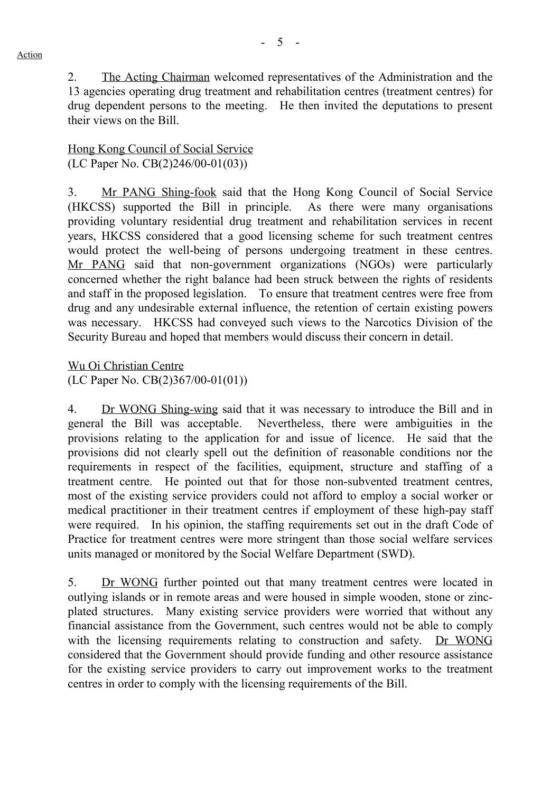2. The Acting Chairman welcomed representatives of the Administration and the 13 agencies operating drug treatment and rehabilitation centres (treatment centres) for drug dependent persons to the meeting. He then invited the deputations to present their views on the Bill.

#### Hong Kong Council of Social Service (LC Paper No. CB(2)246/00-01(03))

3. Mr PANG Shing-fook said that the Hong Kong Council of Social Service (HKCSS) supported the Bill in principle. As there were many organisations providing voluntary residential drug treatment and rehabilitation services in recent years, HKCSS considered that a good licensing scheme for such treatment centres would protect the well-being of persons undergoing treatment in these centres. Mr PANG said that non-government organizations (NGOs) were particularly concerned whether the right balance had been struck between the rights of residents and staff in the proposed legislation. To ensure that treatment centres were free from drug and any undesirable external influence, the retention of certain existing powers was necessary. HKCSS had conveyed such views to the Narcotics Division of the Security Bureau and hoped that members would discuss their concern in detail.

Wu Oi Christian Centre (LC Paper No. CB(2)367/00-01(01))

4. Dr WONG Shing-wing said that it was necessary to introduce the Bill and in general the Bill was acceptable. Nevertheless, there were ambiguities in the provisions relating to the application for and issue of licence. He said that the provisions did not clearly spell out the definition of reasonable conditions nor the requirements in respect of the facilities, equipment, structure and staffing of a treatment centre. He pointed out that for those non-subvented treatment centres, most of the existing service providers could not afford to employ a social worker or medical practitioner in their treatment centres if employment of these high-pay staff were required. In his opinion, the staffing requirements set out in the draft Code of Practice for treatment centres were more stringent than those social welfare services units managed or monitored by the Social Welfare Department (SWD).

5. Dr WONG further pointed out that many treatment centres were located in outlying islands or in remote areas and were housed in simple wooden, stone or zincplated structures. Many existing service providers were worried that without any financial assistance from the Government, such centres would not be able to comply with the licensing requirements relating to construction and safety. Dr WONG considered that the Government should provide funding and other resource assistance for the existing service providers to carry out improvement works to the treatment centres in order to comply with the licensing requirements of the Bill.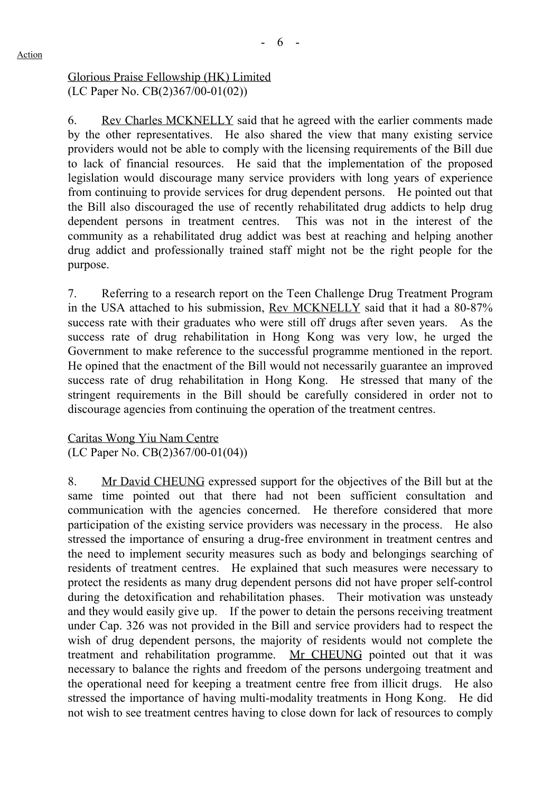Glorious Praise Fellowship (HK) Limited (LC Paper No. CB(2)367/00-01(02))

6. Rev Charles MCKNELLY said that he agreed with the earlier comments made by the other representatives. He also shared the view that many existing service providers would not be able to comply with the licensing requirements of the Bill due to lack of financial resources. He said that the implementation of the proposed legislation would discourage many service providers with long years of experience from continuing to provide services for drug dependent persons. He pointed out that the Bill also discouraged the use of recently rehabilitated drug addicts to help drug dependent persons in treatment centres. This was not in the interest of the community as a rehabilitated drug addict was best at reaching and helping another drug addict and professionally trained staff might not be the right people for the purpose.

7. Referring to a research report on the Teen Challenge Drug Treatment Program in the USA attached to his submission, Rev MCKNELLY said that it had a 80-87% success rate with their graduates who were still off drugs after seven years. As the success rate of drug rehabilitation in Hong Kong was very low, he urged the Government to make reference to the successful programme mentioned in the report. He opined that the enactment of the Bill would not necessarily guarantee an improved success rate of drug rehabilitation in Hong Kong. He stressed that many of the stringent requirements in the Bill should be carefully considered in order not to discourage agencies from continuing the operation of the treatment centres.

Caritas Wong Yiu Nam Centre (LC Paper No. CB(2)367/00-01(04))

8. Mr David CHEUNG expressed support for the objectives of the Bill but at the same time pointed out that there had not been sufficient consultation and communication with the agencies concerned. He therefore considered that more participation of the existing service providers was necessary in the process. He also stressed the importance of ensuring a drug-free environment in treatment centres and the need to implement security measures such as body and belongings searching of residents of treatment centres. He explained that such measures were necessary to protect the residents as many drug dependent persons did not have proper self-control during the detoxification and rehabilitation phases. Their motivation was unsteady and they would easily give up. If the power to detain the persons receiving treatment under Cap. 326 was not provided in the Bill and service providers had to respect the wish of drug dependent persons, the majority of residents would not complete the treatment and rehabilitation programme. Mr CHEUNG pointed out that it was necessary to balance the rights and freedom of the persons undergoing treatment and the operational need for keeping a treatment centre free from illicit drugs. He also stressed the importance of having multi-modality treatments in Hong Kong. He did not wish to see treatment centres having to close down for lack of resources to comply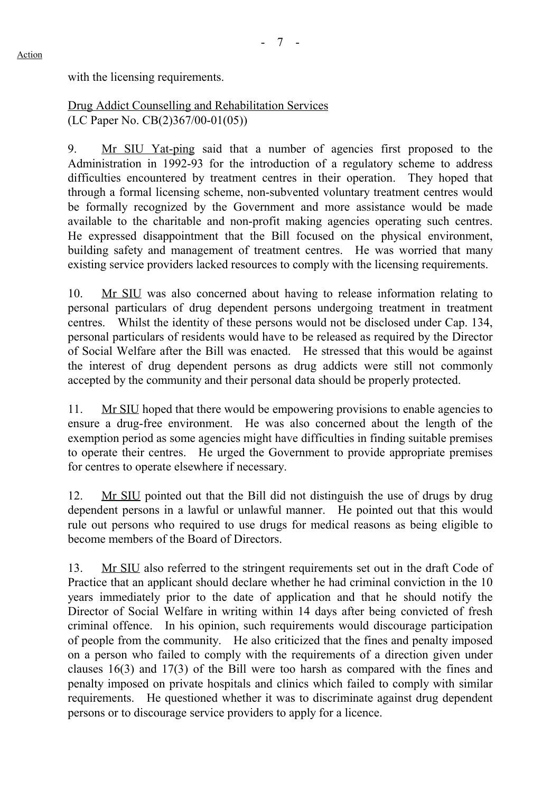with the licensing requirements.

Drug Addict Counselling and Rehabilitation Services (LC Paper No. CB(2)367/00-01(05))

9. Mr SIU Yat-ping said that a number of agencies first proposed to the Administration in 1992-93 for the introduction of a regulatory scheme to address difficulties encountered by treatment centres in their operation. They hoped that through a formal licensing scheme, non-subvented voluntary treatment centres would be formally recognized by the Government and more assistance would be made available to the charitable and non-profit making agencies operating such centres. He expressed disappointment that the Bill focused on the physical environment, building safety and management of treatment centres. He was worried that many existing service providers lacked resources to comply with the licensing requirements.

10. Mr SIU was also concerned about having to release information relating to personal particulars of drug dependent persons undergoing treatment in treatment centres. Whilst the identity of these persons would not be disclosed under Cap. 134, personal particulars of residents would have to be released as required by the Director of Social Welfare after the Bill was enacted. He stressed that this would be against the interest of drug dependent persons as drug addicts were still not commonly accepted by the community and their personal data should be properly protected.

11. Mr SIU hoped that there would be empowering provisions to enable agencies to ensure a drug-free environment. He was also concerned about the length of the exemption period as some agencies might have difficulties in finding suitable premises to operate their centres. He urged the Government to provide appropriate premises for centres to operate elsewhere if necessary.

12. Mr SIU pointed out that the Bill did not distinguish the use of drugs by drug dependent persons in a lawful or unlawful manner. He pointed out that this would rule out persons who required to use drugs for medical reasons as being eligible to become members of the Board of Directors.

13. Mr SIU also referred to the stringent requirements set out in the draft Code of Practice that an applicant should declare whether he had criminal conviction in the 10 years immediately prior to the date of application and that he should notify the Director of Social Welfare in writing within 14 days after being convicted of fresh criminal offence. In his opinion, such requirements would discourage participation of people from the community. He also criticized that the fines and penalty imposed on a person who failed to comply with the requirements of a direction given under clauses 16(3) and 17(3) of the Bill were too harsh as compared with the fines and penalty imposed on private hospitals and clinics which failed to comply with similar requirements. He questioned whether it was to discriminate against drug dependent persons or to discourage service providers to apply for a licence.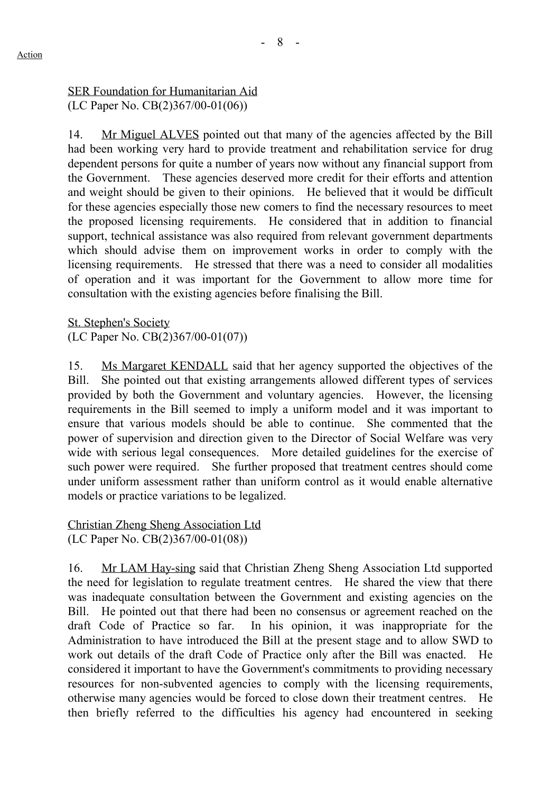## SER Foundation for Humanitarian Aid (LC Paper No. CB(2)367/00-01(06))

14. Mr Miguel ALVES pointed out that many of the agencies affected by the Bill had been working very hard to provide treatment and rehabilitation service for drug dependent persons for quite a number of years now without any financial support from the Government. These agencies deserved more credit for their efforts and attention and weight should be given to their opinions. He believed that it would be difficult for these agencies especially those new comers to find the necessary resources to meet the proposed licensing requirements. He considered that in addition to financial support, technical assistance was also required from relevant government departments which should advise them on improvement works in order to comply with the licensing requirements. He stressed that there was a need to consider all modalities of operation and it was important for the Government to allow more time for consultation with the existing agencies before finalising the Bill.

St. Stephen's Society (LC Paper No. CB(2)367/00-01(07))

15. Ms Margaret KENDALL said that her agency supported the objectives of the Bill. She pointed out that existing arrangements allowed different types of services provided by both the Government and voluntary agencies. However, the licensing requirements in the Bill seemed to imply a uniform model and it was important to ensure that various models should be able to continue. She commented that the power of supervision and direction given to the Director of Social Welfare was very wide with serious legal consequences. More detailed guidelines for the exercise of such power were required. She further proposed that treatment centres should come under uniform assessment rather than uniform control as it would enable alternative models or practice variations to be legalized.

Christian Zheng Sheng Association Ltd (LC Paper No. CB(2)367/00-01(08))

16. Mr LAM Hay-sing said that Christian Zheng Sheng Association Ltd supported the need for legislation to regulate treatment centres. He shared the view that there was inadequate consultation between the Government and existing agencies on the Bill. He pointed out that there had been no consensus or agreement reached on the draft Code of Practice so far. In his opinion, it was inappropriate for the Administration to have introduced the Bill at the present stage and to allow SWD to work out details of the draft Code of Practice only after the Bill was enacted. considered it important to have the Government's commitments to providing necessary resources for non-subvented agencies to comply with the licensing requirements, otherwise many agencies would be forced to close down their treatment centres. He then briefly referred to the difficulties his agency had encountered in seeking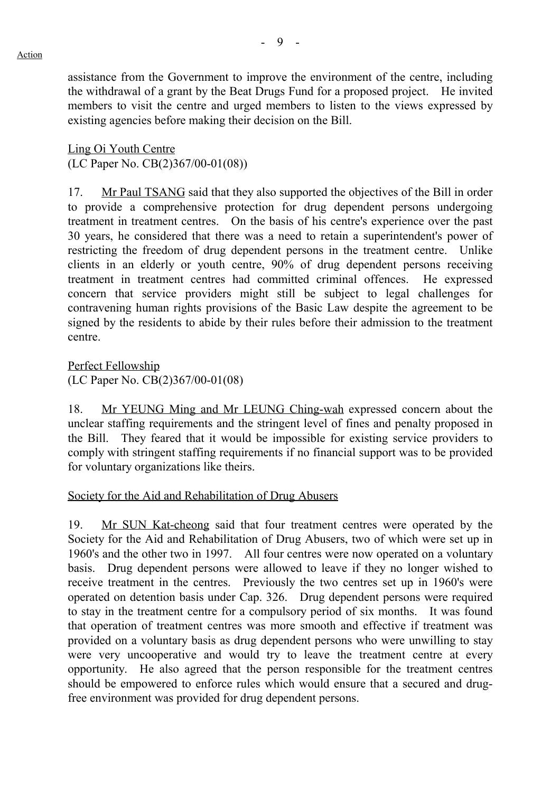- 9 -

assistance from the Government to improve the environment of the centre, including the withdrawal of a grant by the Beat Drugs Fund for a proposed project. He invited members to visit the centre and urged members to listen to the views expressed by existing agencies before making their decision on the Bill.

Ling Oi Youth Centre (LC Paper No. CB(2)367/00-01(08))

17. Mr Paul TSANG said that they also supported the objectives of the Bill in order to provide a comprehensive protection for drug dependent persons undergoing treatment in treatment centres. On the basis of his centre's experience over the past 30 years, he considered that there was a need to retain a superintendent's power of restricting the freedom of drug dependent persons in the treatment centre. Unlike clients in an elderly or youth centre, 90% of drug dependent persons receiving treatment in treatment centres had committed criminal offences. He expressed concern that service providers might still be subject to legal challenges for contravening human rights provisions of the Basic Law despite the agreement to be signed by the residents to abide by their rules before their admission to the treatment centre.

Perfect Fellowship (LC Paper No. CB(2)367/00-01(08)

18. Mr YEUNG Ming and Mr LEUNG Ching-wah expressed concern about the unclear staffing requirements and the stringent level of fines and penalty proposed in the Bill. They feared that it would be impossible for existing service providers to comply with stringent staffing requirements if no financial support was to be provided for voluntary organizations like theirs.

## Society for the Aid and Rehabilitation of Drug Abusers

19. Mr SUN Kat-cheong said that four treatment centres were operated by the Society for the Aid and Rehabilitation of Drug Abusers, two of which were set up in 1960's and the other two in 1997. All four centres were now operated on a voluntary basis. Drug dependent persons were allowed to leave if they no longer wished to receive treatment in the centres. Previously the two centres set up in 1960's were operated on detention basis under Cap. 326. Drug dependent persons were required to stay in the treatment centre for a compulsory period of six months. It was found that operation of treatment centres was more smooth and effective if treatment was provided on a voluntary basis as drug dependent persons who were unwilling to stay were very uncooperative and would try to leave the treatment centre at every opportunity. He also agreed that the person responsible for the treatment centres should be empowered to enforce rules which would ensure that a secured and drugfree environment was provided for drug dependent persons.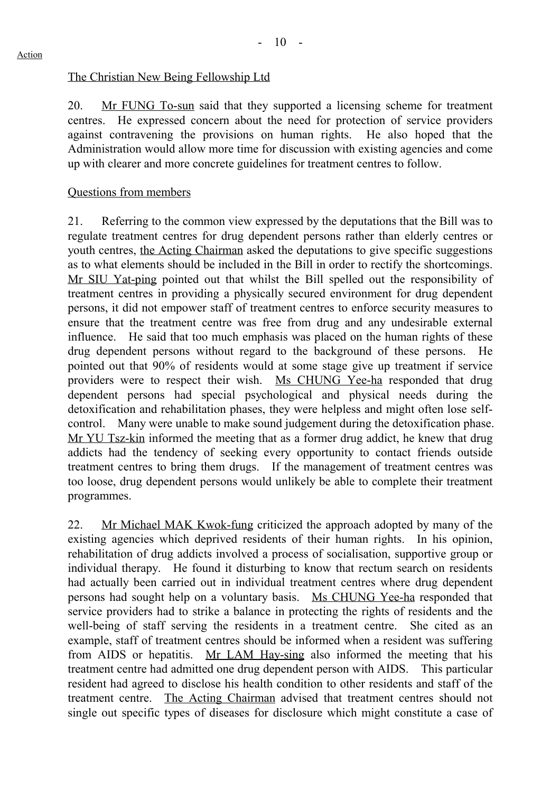## The Christian New Being Fellowship Ltd

20. Mr FUNG To-sun said that they supported a licensing scheme for treatment centres. He expressed concern about the need for protection of service providers against contravening the provisions on human rights. He also hoped that the Administration would allow more time for discussion with existing agencies and come up with clearer and more concrete guidelines for treatment centres to follow.

#### Questions from members

21. Referring to the common view expressed by the deputations that the Bill was to regulate treatment centres for drug dependent persons rather than elderly centres or youth centres, the Acting Chairman asked the deputations to give specific suggestions as to what elements should be included in the Bill in order to rectify the shortcomings. Mr SIU Yat-ping pointed out that whilst the Bill spelled out the responsibility of treatment centres in providing a physically secured environment for drug dependent persons, it did not empower staff of treatment centres to enforce security measures to ensure that the treatment centre was free from drug and any undesirable external influence. He said that too much emphasis was placed on the human rights of these drug dependent persons without regard to the background of these persons. pointed out that 90% of residents would at some stage give up treatment if service providers were to respect their wish. Ms CHUNG Yee-ha responded that drug dependent persons had special psychological and physical needs during the detoxification and rehabilitation phases, they were helpless and might often lose selfcontrol. Many were unable to make sound judgement during the detoxification phase. Mr YU Tsz-kin informed the meeting that as a former drug addict, he knew that drug addicts had the tendency of seeking every opportunity to contact friends outside treatment centres to bring them drugs. If the management of treatment centres was too loose, drug dependent persons would unlikely be able to complete their treatment programmes.

22. Mr Michael MAK Kwok-fung criticized the approach adopted by many of the existing agencies which deprived residents of their human rights. In his opinion, rehabilitation of drug addicts involved a process of socialisation, supportive group or individual therapy. He found it disturbing to know that rectum search on residents had actually been carried out in individual treatment centres where drug dependent persons had sought help on a voluntary basis. Ms CHUNG Yee-ha responded that service providers had to strike a balance in protecting the rights of residents and the well-being of staff serving the residents in a treatment centre. She cited as an example, staff of treatment centres should be informed when a resident was suffering from AIDS or hepatitis. Mr LAM Hay-sing also informed the meeting that his treatment centre had admitted one drug dependent person with AIDS. This particular resident had agreed to disclose his health condition to other residents and staff of the treatment centre. The Acting Chairman advised that treatment centres should not single out specific types of diseases for disclosure which might constitute a case of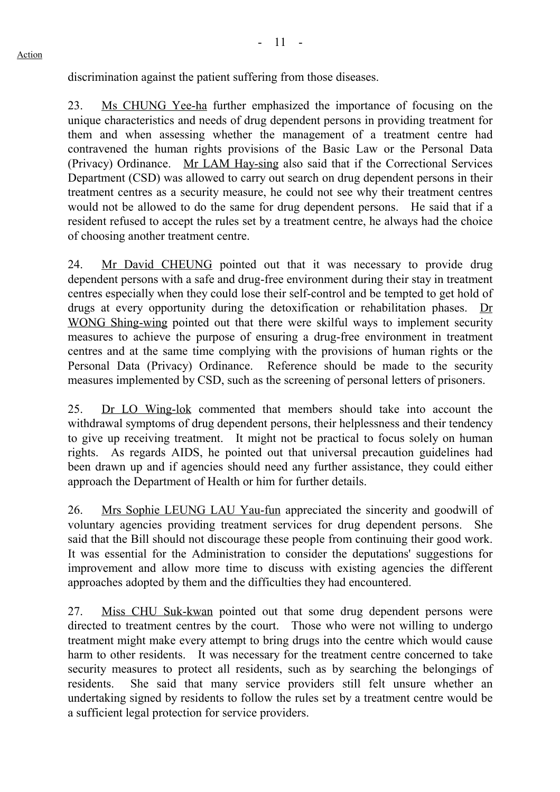discrimination against the patient suffering from those diseases.

23. Ms CHUNG Yee-ha further emphasized the importance of focusing on the unique characteristics and needs of drug dependent persons in providing treatment for them and when assessing whether the management of a treatment centre had contravened the human rights provisions of the Basic Law or the Personal Data (Privacy) Ordinance. Mr LAM Hay-sing also said that if the Correctional Services Department (CSD) was allowed to carry out search on drug dependent persons in their treatment centres as a security measure, he could not see why their treatment centres would not be allowed to do the same for drug dependent persons. He said that if a resident refused to accept the rules set by a treatment centre, he always had the choice of choosing another treatment centre.

24. Mr David CHEUNG pointed out that it was necessary to provide drug dependent persons with a safe and drug-free environment during their stay in treatment centres especially when they could lose their self-control and be tempted to get hold of drugs at every opportunity during the detoxification or rehabilitation phases. Dr WONG Shing-wing pointed out that there were skilful ways to implement security measures to achieve the purpose of ensuring a drug-free environment in treatment centres and at the same time complying with the provisions of human rights or the Personal Data (Privacy) Ordinance. Reference should be made to the security measures implemented by CSD, such as the screening of personal letters of prisoners.

25. Dr LO Wing-lok commented that members should take into account the withdrawal symptoms of drug dependent persons, their helplessness and their tendency to give up receiving treatment. It might not be practical to focus solely on human rights. As regards AIDS, he pointed out that universal precaution guidelines had been drawn up and if agencies should need any further assistance, they could either approach the Department of Health or him for further details.

26. Mrs Sophie LEUNG LAU Yau-fun appreciated the sincerity and goodwill of voluntary agencies providing treatment services for drug dependent persons. She said that the Bill should not discourage these people from continuing their good work. It was essential for the Administration to consider the deputations' suggestions for improvement and allow more time to discuss with existing agencies the different approaches adopted by them and the difficulties they had encountered.

27. Miss CHU Suk-kwan pointed out that some drug dependent persons were directed to treatment centres by the court. Those who were not willing to undergo treatment might make every attempt to bring drugs into the centre which would cause harm to other residents. It was necessary for the treatment centre concerned to take security measures to protect all residents, such as by searching the belongings of residents. She said that many service providers still felt unsure whether an undertaking signed by residents to follow the rules set by a treatment centre would be a sufficient legal protection for service providers.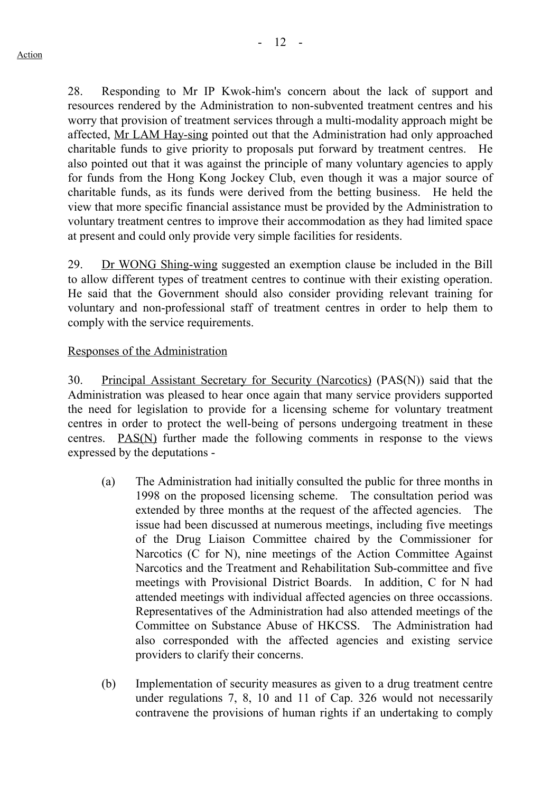28. Responding to Mr IP Kwok-him's concern about the lack of support and resources rendered by the Administration to non-subvented treatment centres and his worry that provision of treatment services through a multi-modality approach might be affected, Mr LAM Hay-sing pointed out that the Administration had only approached charitable funds to give priority to proposals put forward by treatment centres. He also pointed out that it was against the principle of many voluntary agencies to apply for funds from the Hong Kong Jockey Club, even though it was a major source of charitable funds, as its funds were derived from the betting business. He held the view that more specific financial assistance must be provided by the Administration to voluntary treatment centres to improve their accommodation as they had limited space at present and could only provide very simple facilities for residents.

29. Dr WONG Shing-wing suggested an exemption clause be included in the Bill to allow different types of treatment centres to continue with their existing operation. He said that the Government should also consider providing relevant training for voluntary and non-professional staff of treatment centres in order to help them to comply with the service requirements.

## Responses of the Administration

30. Principal Assistant Secretary for Security (Narcotics) (PAS(N)) said that the Administration was pleased to hear once again that many service providers supported the need for legislation to provide for a licensing scheme for voluntary treatment centres in order to protect the well-being of persons undergoing treatment in these centres. PAS(N) further made the following comments in response to the views expressed by the deputations -

- (a) The Administration had initially consulted the public for three months in 1998 on the proposed licensing scheme. The consultation period was extended by three months at the request of the affected agencies. The issue had been discussed at numerous meetings, including five meetings of the Drug Liaison Committee chaired by the Commissioner for Narcotics (C for N), nine meetings of the Action Committee Against Narcotics and the Treatment and Rehabilitation Sub-committee and five meetings with Provisional District Boards. In addition, C for N had attended meetings with individual affected agencies on three occassions. Representatives of the Administration had also attended meetings of the Committee on Substance Abuse of HKCSS. The Administration had also corresponded with the affected agencies and existing service providers to clarify their concerns.
- (b) Implementation of security measures as given to a drug treatment centre under regulations 7, 8, 10 and 11 of Cap. 326 would not necessarily contravene the provisions of human rights if an undertaking to comply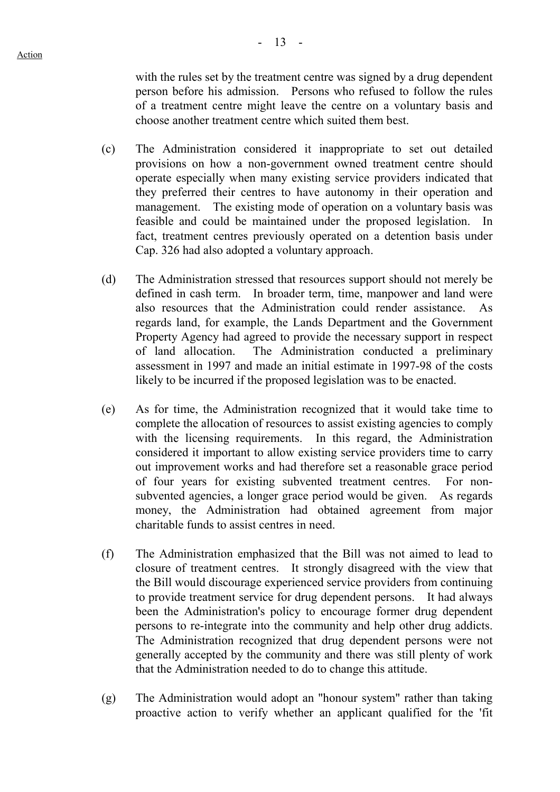$- 13 -$ 

with the rules set by the treatment centre was signed by a drug dependent person before his admission. Persons who refused to follow the rules of a treatment centre might leave the centre on a voluntary basis and choose another treatment centre which suited them best.

- (c) The Administration considered it inappropriate to set out detailed provisions on how a non-government owned treatment centre should operate especially when many existing service providers indicated that they preferred their centres to have autonomy in their operation and management. The existing mode of operation on a voluntary basis was feasible and could be maintained under the proposed legislation. In fact, treatment centres previously operated on a detention basis under Cap. 326 had also adopted a voluntary approach.
- (d) The Administration stressed that resources support should not merely be defined in cash term. In broader term, time, manpower and land were also resources that the Administration could render assistance. As regards land, for example, the Lands Department and the Government Property Agency had agreed to provide the necessary support in respect of land allocation. The Administration conducted a preliminary assessment in 1997 and made an initial estimate in 1997-98 of the costs likely to be incurred if the proposed legislation was to be enacted.
- (e) As for time, the Administration recognized that it would take time to complete the allocation of resources to assist existing agencies to comply with the licensing requirements. In this regard, the Administration considered it important to allow existing service providers time to carry out improvement works and had therefore set a reasonable grace period of four years for existing subvented treatment centres. For nonsubvented agencies, a longer grace period would be given. As regards money, the Administration had obtained agreement from major charitable funds to assist centres in need.
- (f) The Administration emphasized that the Bill was not aimed to lead to closure of treatment centres. It strongly disagreed with the view that the Bill would discourage experienced service providers from continuing to provide treatment service for drug dependent persons. It had always been the Administration's policy to encourage former drug dependent persons to re-integrate into the community and help other drug addicts. The Administration recognized that drug dependent persons were not generally accepted by the community and there was still plenty of work that the Administration needed to do to change this attitude.
- (g) The Administration would adopt an "honour system" rather than taking proactive action to verify whether an applicant qualified for the 'fit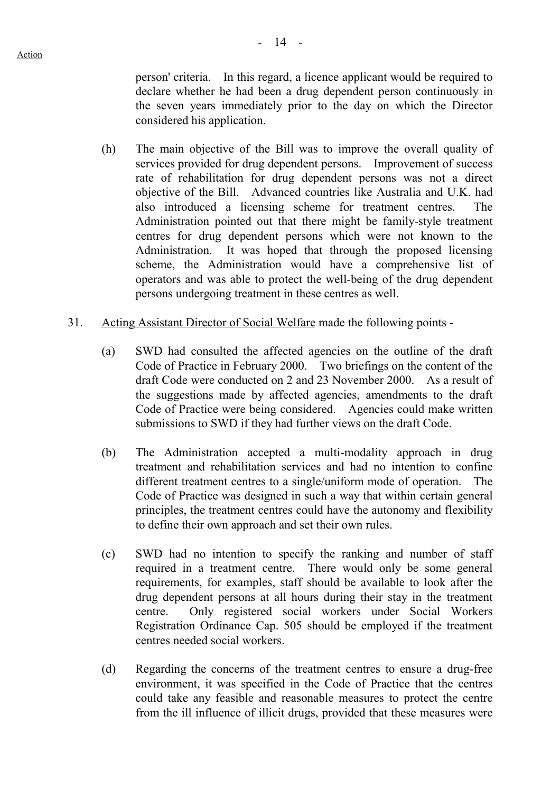person' criteria. In this regard, a licence applicant would be required to declare whether he had been a drug dependent person continuously in the seven years immediately prior to the day on which the Director considered his application.

- (h) The main objective of the Bill was to improve the overall quality of services provided for drug dependent persons. Improvement of success rate of rehabilitation for drug dependent persons was not a direct objective of the Bill. Advanced countries like Australia and U.K. had also introduced a licensing scheme for treatment centres. The Administration pointed out that there might be family-style treatment centres for drug dependent persons which were not known to the Administration. It was hoped that through the proposed licensing scheme, the Administration would have a comprehensive list of operators and was able to protect the well-being of the drug dependent persons undergoing treatment in these centres as well.
- 31. Acting Assistant Director of Social Welfare made the following points
	- (a) SWD had consulted the affected agencies on the outline of the draft Code of Practice in February 2000. Two briefings on the content of the draft Code were conducted on 2 and 23 November 2000. As a result of the suggestions made by affected agencies, amendments to the draft Code of Practice were being considered. Agencies could make written submissions to SWD if they had further views on the draft Code.
	- (b) The Administration accepted a multi-modality approach in drug treatment and rehabilitation services and had no intention to confine different treatment centres to a single/uniform mode of operation. The Code of Practice was designed in such a way that within certain general principles, the treatment centres could have the autonomy and flexibility to define their own approach and set their own rules.
	- (c) SWD had no intention to specify the ranking and number of staff required in a treatment centre. There would only be some general requirements, for examples, staff should be available to look after the drug dependent persons at all hours during their stay in the treatment centre. Only registered social workers under Social Workers Registration Ordinance Cap. 505 should be employed if the treatment centres needed social workers.
	- (d) Regarding the concerns of the treatment centres to ensure a drug-free environment, it was specified in the Code of Practice that the centres could take any feasible and reasonable measures to protect the centre from the ill influence of illicit drugs, provided that these measures were